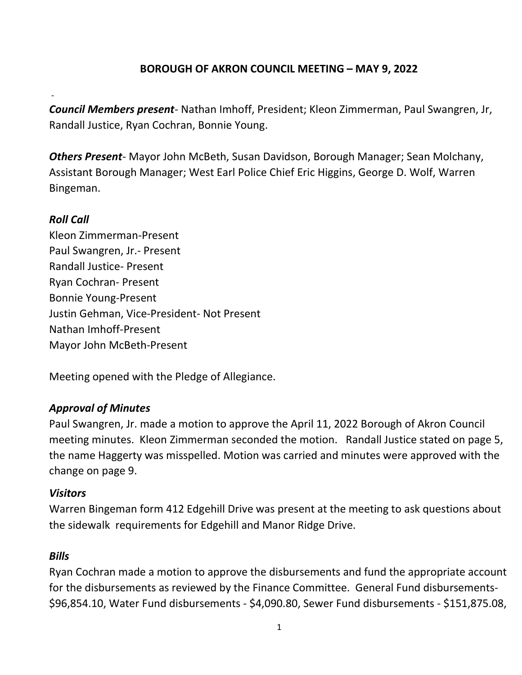## BOROUGH OF AKRON COUNCIL MEETING – MAY 9, 2022

Council Members present- Nathan Imhoff, President; Kleon Zimmerman, Paul Swangren, Jr, Randall Justice, Ryan Cochran, Bonnie Young.

Others Present- Mayor John McBeth, Susan Davidson, Borough Manager; Sean Molchany, Assistant Borough Manager; West Earl Police Chief Eric Higgins, George D. Wolf, Warren Bingeman.

### Roll Call

-

Kleon Zimmerman-Present Paul Swangren, Jr.- Present Randall Justice- Present Ryan Cochran- Present Bonnie Young-Present Justin Gehman, Vice-President- Not Present Nathan Imhoff-Present Mayor John McBeth-Present

Meeting opened with the Pledge of Allegiance.

### Approval of Minutes

Paul Swangren, Jr. made a motion to approve the April 11, 2022 Borough of Akron Council meeting minutes. Kleon Zimmerman seconded the motion. Randall Justice stated on page 5, the name Haggerty was misspelled. Motion was carried and minutes were approved with the change on page 9.

#### **Visitors**

Warren Bingeman form 412 Edgehill Drive was present at the meeting to ask questions about the sidewalk requirements for Edgehill and Manor Ridge Drive.

#### **Bills**

Ryan Cochran made a motion to approve the disbursements and fund the appropriate account for the disbursements as reviewed by the Finance Committee. General Fund disbursements- \$96,854.10, Water Fund disbursements - \$4,090.80, Sewer Fund disbursements - \$151,875.08,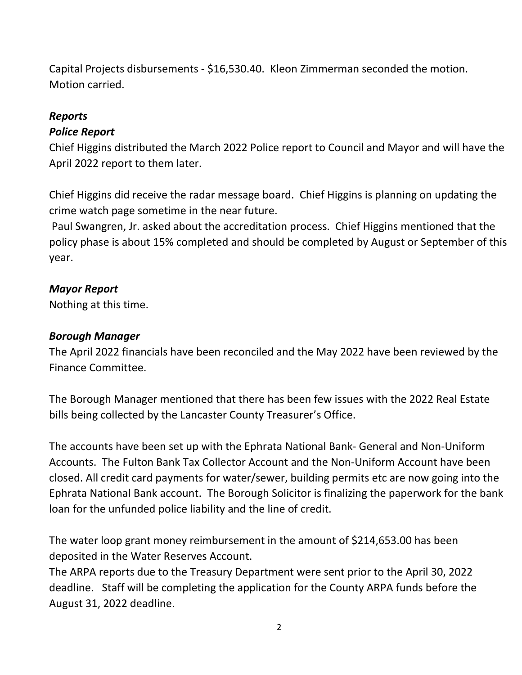Capital Projects disbursements - \$16,530.40. Kleon Zimmerman seconded the motion. Motion carried.

# Reports

## Police Report

Chief Higgins distributed the March 2022 Police report to Council and Mayor and will have the April 2022 report to them later.

Chief Higgins did receive the radar message board. Chief Higgins is planning on updating the crime watch page sometime in the near future.

 Paul Swangren, Jr. asked about the accreditation process. Chief Higgins mentioned that the policy phase is about 15% completed and should be completed by August or September of this year.

### Mayor Report

Nothing at this time.

#### Borough Manager

The April 2022 financials have been reconciled and the May 2022 have been reviewed by the Finance Committee.

The Borough Manager mentioned that there has been few issues with the 2022 Real Estate bills being collected by the Lancaster County Treasurer's Office.

The accounts have been set up with the Ephrata National Bank- General and Non-Uniform Accounts. The Fulton Bank Tax Collector Account and the Non-Uniform Account have been closed. All credit card payments for water/sewer, building permits etc are now going into the Ephrata National Bank account. The Borough Solicitor is finalizing the paperwork for the bank loan for the unfunded police liability and the line of credit.

The water loop grant money reimbursement in the amount of \$214,653.00 has been deposited in the Water Reserves Account.

The ARPA reports due to the Treasury Department were sent prior to the April 30, 2022 deadline. Staff will be completing the application for the County ARPA funds before the August 31, 2022 deadline.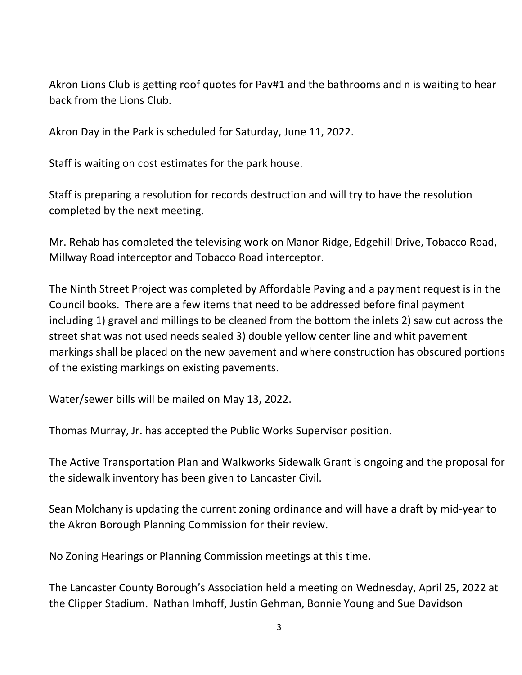Akron Lions Club is getting roof quotes for Pav#1 and the bathrooms and n is waiting to hear back from the Lions Club.

Akron Day in the Park is scheduled for Saturday, June 11, 2022.

Staff is waiting on cost estimates for the park house.

Staff is preparing a resolution for records destruction and will try to have the resolution completed by the next meeting.

Mr. Rehab has completed the televising work on Manor Ridge, Edgehill Drive, Tobacco Road, Millway Road interceptor and Tobacco Road interceptor.

The Ninth Street Project was completed by Affordable Paving and a payment request is in the Council books. There are a few items that need to be addressed before final payment including 1) gravel and millings to be cleaned from the bottom the inlets 2) saw cut across the street shat was not used needs sealed 3) double yellow center line and whit pavement markings shall be placed on the new pavement and where construction has obscured portions of the existing markings on existing pavements.

Water/sewer bills will be mailed on May 13, 2022.

Thomas Murray, Jr. has accepted the Public Works Supervisor position.

The Active Transportation Plan and Walkworks Sidewalk Grant is ongoing and the proposal for the sidewalk inventory has been given to Lancaster Civil.

Sean Molchany is updating the current zoning ordinance and will have a draft by mid-year to the Akron Borough Planning Commission for their review.

No Zoning Hearings or Planning Commission meetings at this time.

The Lancaster County Borough's Association held a meeting on Wednesday, April 25, 2022 at the Clipper Stadium. Nathan Imhoff, Justin Gehman, Bonnie Young and Sue Davidson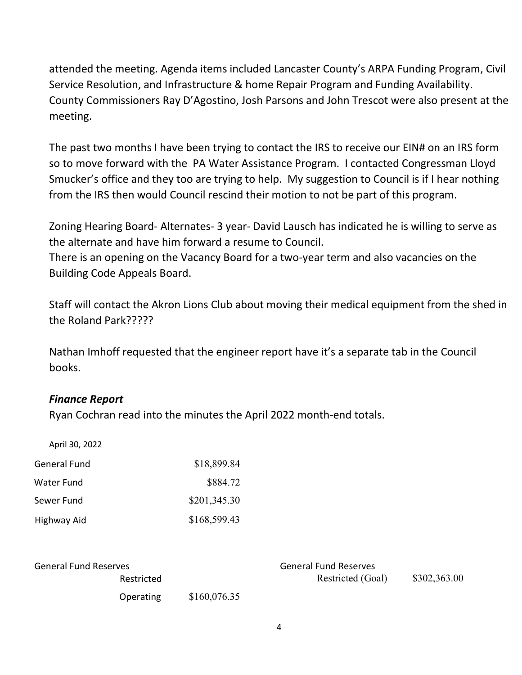attended the meeting. Agenda items included Lancaster County's ARPA Funding Program, Civil Service Resolution, and Infrastructure & home Repair Program and Funding Availability. County Commissioners Ray D'Agostino, Josh Parsons and John Trescot were also present at the meeting.

The past two months I have been trying to contact the IRS to receive our EIN# on an IRS form so to move forward with the PA Water Assistance Program. I contacted Congressman Lloyd Smucker's office and they too are trying to help. My suggestion to Council is if I hear nothing from the IRS then would Council rescind their motion to not be part of this program.

Zoning Hearing Board- Alternates- 3 year- David Lausch has indicated he is willing to serve as the alternate and have him forward a resume to Council.

There is an opening on the Vacancy Board for a two-year term and also vacancies on the Building Code Appeals Board.

Staff will contact the Akron Lions Club about moving their medical equipment from the shed in the Roland Park?????

Nathan Imhoff requested that the engineer report have it's a separate tab in the Council books.

### Finance Report

Ryan Cochran read into the minutes the April 2022 month-end totals.

| April 30, 2022      |              |
|---------------------|--------------|
| <b>General Fund</b> | \$18,899.84  |
| Water Fund          | \$884.72     |
| Sewer Fund          | \$201,345.30 |
| Highway Aid         | \$168,599.43 |

| General Fund Reserves |              | <b>General Fund Reserves</b> |              |
|-----------------------|--------------|------------------------------|--------------|
| Restricted            |              | Restricted (Goal)            | \$302,363.00 |
| Operating             | \$160,076.35 |                              |              |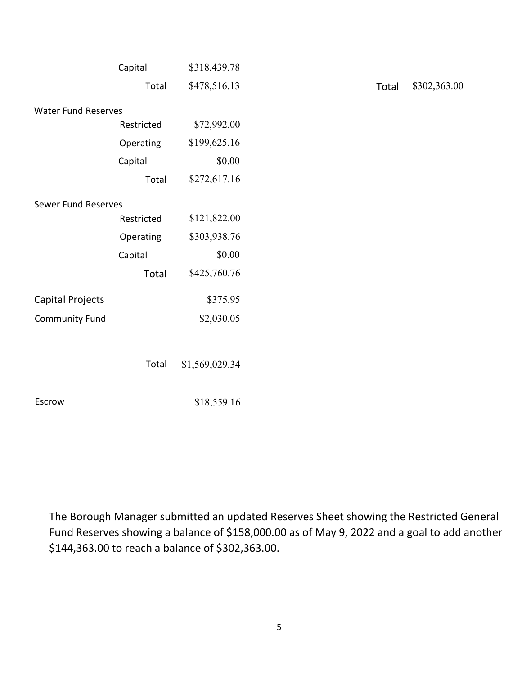|                            | Capital      | \$318,439.78   |
|----------------------------|--------------|----------------|
|                            | Total        | \$478,516.13   |
| <b>Water Fund Reserves</b> |              |                |
|                            | Restricted   | \$72,992.00    |
|                            | Operating    | \$199,625.16   |
|                            | Capital      | \$0.00         |
|                            | Total        | \$272,617.16   |
| <b>Sewer Fund Reserves</b> |              |                |
|                            | Restricted   | \$121,822.00   |
|                            | Operating    | \$303,938.76   |
|                            | Capital      | \$0.00         |
|                            | <b>Total</b> | \$425,760.76   |
| <b>Capital Projects</b>    |              | \$375.95       |
| <b>Community Fund</b>      |              | \$2,030.05     |
|                            |              |                |
|                            | Total        | \$1,569,029.34 |
| Escrow                     |              | \$18,559.16    |

Total \$302,363.00

The Borough Manager submitted an updated Reserves Sheet showing the Restricted General Fund Reserves showing a balance of \$158,000.00 as of May 9, 2022 and a goal to add another \$144,363.00 to reach a balance of \$302,363.00.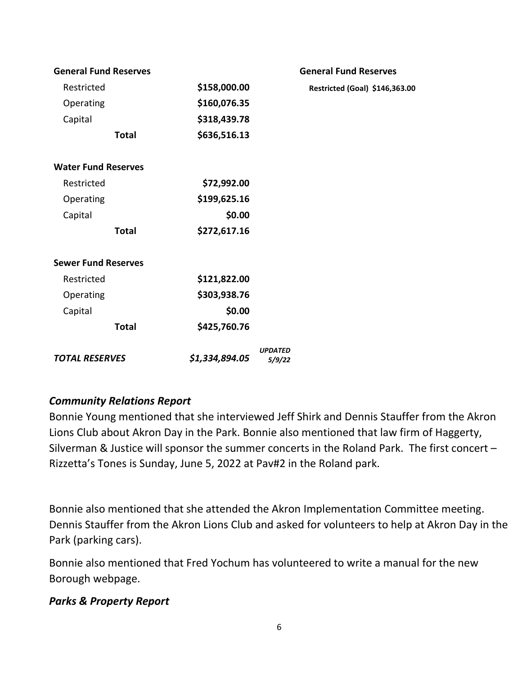| <b>General Fund Reserves</b> |                | <b>General Fund Reserves</b>   |
|------------------------------|----------------|--------------------------------|
| Restricted                   | \$158,000.00   | Restricted (Goal) \$146,363.00 |
| Operating                    | \$160,076.35   |                                |
| Capital                      | \$318,439.78   |                                |
| <b>Total</b>                 | \$636,516.13   |                                |
| <b>Water Fund Reserves</b>   |                |                                |
| Restricted                   | \$72,992.00    |                                |
| Operating                    | \$199,625.16   |                                |
| Capital                      | \$0.00         |                                |
| <b>Total</b>                 | \$272,617.16   |                                |
| <b>Sewer Fund Reserves</b>   |                |                                |
| Restricted                   | \$121,822.00   |                                |
| Operating                    | \$303,938.76   |                                |
| Capital                      | \$0.00         |                                |
| <b>Total</b>                 | \$425,760.76   |                                |
| <b>TOTAL RESERVES</b>        | \$1,334,894.05 | <b>UPDATED</b><br>5/9/22       |

# Community Relations Report

Bonnie Young mentioned that she interviewed Jeff Shirk and Dennis Stauffer from the Akron Lions Club about Akron Day in the Park. Bonnie also mentioned that law firm of Haggerty, Silverman & Justice will sponsor the summer concerts in the Roland Park. The first concert – Rizzetta's Tones is Sunday, June 5, 2022 at Pav#2 in the Roland park.

Bonnie also mentioned that she attended the Akron Implementation Committee meeting. Dennis Stauffer from the Akron Lions Club and asked for volunteers to help at Akron Day in the Park (parking cars).

Bonnie also mentioned that Fred Yochum has volunteered to write a manual for the new Borough webpage.

### Parks & Property Report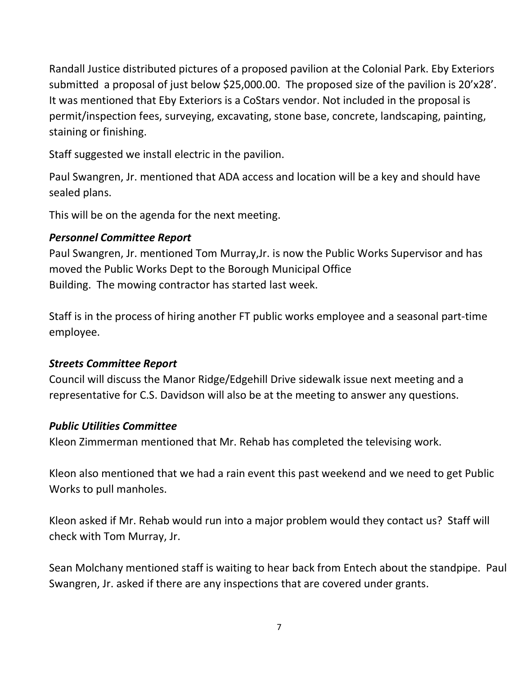Randall Justice distributed pictures of a proposed pavilion at the Colonial Park. Eby Exteriors submitted a proposal of just below \$25,000.00. The proposed size of the pavilion is 20'x28'. It was mentioned that Eby Exteriors is a CoStars vendor. Not included in the proposal is permit/inspection fees, surveying, excavating, stone base, concrete, landscaping, painting, staining or finishing.

Staff suggested we install electric in the pavilion.

Paul Swangren, Jr. mentioned that ADA access and location will be a key and should have sealed plans.

This will be on the agenda for the next meeting.

# Personnel Committee Report

Paul Swangren, Jr. mentioned Tom Murray,Jr. is now the Public Works Supervisor and has moved the Public Works Dept to the Borough Municipal Office Building. The mowing contractor has started last week.

Staff is in the process of hiring another FT public works employee and a seasonal part-time employee.

### Streets Committee Report

Council will discuss the Manor Ridge/Edgehill Drive sidewalk issue next meeting and a representative for C.S. Davidson will also be at the meeting to answer any questions.

# Public Utilities Committee

Kleon Zimmerman mentioned that Mr. Rehab has completed the televising work.

Kleon also mentioned that we had a rain event this past weekend and we need to get Public Works to pull manholes.

Kleon asked if Mr. Rehab would run into a major problem would they contact us? Staff will check with Tom Murray, Jr.

Sean Molchany mentioned staff is waiting to hear back from Entech about the standpipe. Paul Swangren, Jr. asked if there are any inspections that are covered under grants.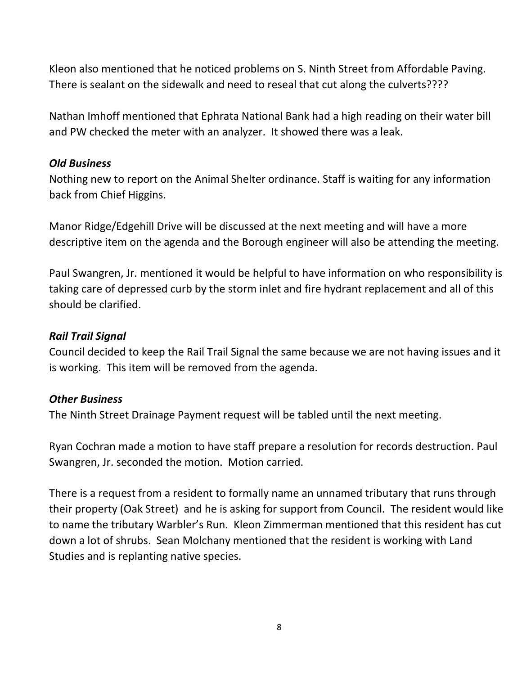Kleon also mentioned that he noticed problems on S. Ninth Street from Affordable Paving. There is sealant on the sidewalk and need to reseal that cut along the culverts????

Nathan Imhoff mentioned that Ephrata National Bank had a high reading on their water bill and PW checked the meter with an analyzer. It showed there was a leak.

### Old Business

Nothing new to report on the Animal Shelter ordinance. Staff is waiting for any information back from Chief Higgins.

Manor Ridge/Edgehill Drive will be discussed at the next meeting and will have a more descriptive item on the agenda and the Borough engineer will also be attending the meeting.

Paul Swangren, Jr. mentioned it would be helpful to have information on who responsibility is taking care of depressed curb by the storm inlet and fire hydrant replacement and all of this should be clarified.

### Rail Trail Signal

Council decided to keep the Rail Trail Signal the same because we are not having issues and it is working. This item will be removed from the agenda.

# Other Business

The Ninth Street Drainage Payment request will be tabled until the next meeting.

Ryan Cochran made a motion to have staff prepare a resolution for records destruction. Paul Swangren, Jr. seconded the motion. Motion carried.

There is a request from a resident to formally name an unnamed tributary that runs through their property (Oak Street) and he is asking for support from Council. The resident would like to name the tributary Warbler's Run. Kleon Zimmerman mentioned that this resident has cut down a lot of shrubs. Sean Molchany mentioned that the resident is working with Land Studies and is replanting native species.